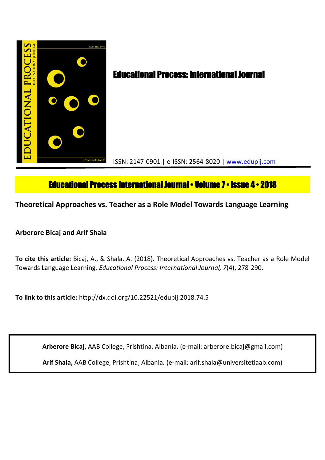

# **Educational Process International Journal • Volume 7 • Issue 4 • 2018**

**Theoretical Approaches vs. Teacher as a Role Model Towards Language Learning**

## **Arberore Bicaj and Arif Shala**

**To cite this article:** Bicaj, A., & Shala, A. (2018). Theoretical Approaches vs. Teacher as a Role Model Towards Language Learning. *Educational Process: International Journal, 7*(4), 278-290.

**To link to this article:** http://dx.doi.org/10.22521/edupij.2018.74.5

**Arberore Bicaj,** AAB College, Prishtina, Albania**.** (e-mail: arberore.bicaj@gmail.com)

**Arif Shala,** AAB College, Prishtina, Albania**.** (e-mail: arif.shala@universitetiaab.com)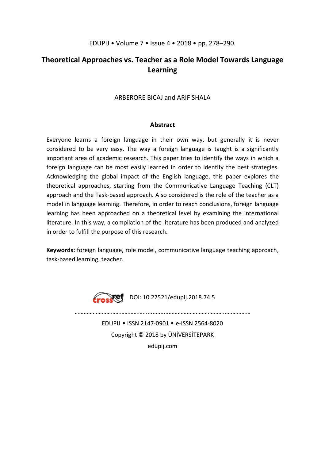### EDUPIJ • Volume 7 • Issue 4 • 2018 • pp. 278–290.

## **Theoretical Approaches vs. Teacher as a Role Model Towards Language Learning**

## ARBERORE BICAJ and ARIF SHALA

#### **Abstract**

Everyone learns a foreign language in their own way, but generally it is never considered to be very easy. The way a foreign language is taught is a significantly important area of academic research. This paper tries to identify the ways in which a foreign language can be most easily learned in order to identify the best strategies. Acknowledging the global impact of the English language, this paper explores the theoretical approaches, starting from the Communicative Language Teaching (CLT) approach and the Task-based approach. Also considered is the role of the teacher as a model in language learning. Therefore, in order to reach conclusions, foreign language learning has been approached on a theoretical level by examining the international literature. In this way, a compilation of the literature has been produced and analyzed in order to fulfill the purpose of this research.

**Keywords:** foreign language, role model, communicative language teaching approach, task-based learning, teacher.



EDUPIJ • ISSN 2147-0901 • e-ISSN 2564-8020 Copyright © 2018 by ÜNİVERSİTEPARK edupij.com

………………………………………........….....………………………………...……………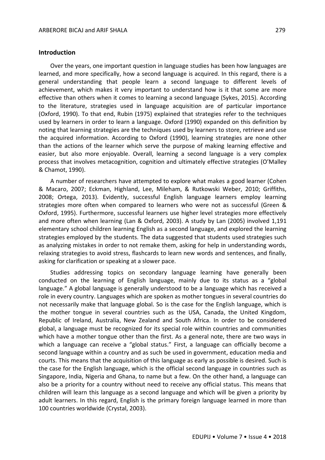#### **Introduction**

Over the years, one important question in language studies has been how languages are learned, and more specifically, how a second language is acquired. In this regard, there is a general understanding that people learn a second language to different levels of achievement, which makes it very important to understand how is it that some are more effective than others when it comes to learning a second language (Sykes, 2015). According to the literature, strategies used in language acquisition are of particular importance (Oxford, 1990). To that end, Rubin (1975) explained that strategies refer to the techniques used by learners in order to learn a language. Oxford (1990) expanded on this definition by noting that learning strategies are the techniques used by learners to store, retrieve and use the acquired information. According to Oxford (1990), learning strategies are none other than the actions of the learner which serve the purpose of making learning effective and easier, but also more enjoyable. Overall, learning a second language is a very complex process that involves metacognition, cognition and ultimately effective strategies (O'Malley & Chamot, 1990).

A number of researchers have attempted to explore what makes a good learner (Cohen & Macaro, 2007; Eckman, Highland, Lee, Mileham, & Rutkowski Weber, 2010; Griffiths, 2008; Ortega, 2013). Evidently, successful English language learners employ learning strategies more often when compared to learners who were not as successful (Green & Oxford, 1995). Furthermore, successful learners use higher level strategies more effectively and more often when learning (Lan & Oxford, 2003). A study by Lan (2005) involved 1,191 elementary school children learning English as a second language, and explored the learning strategies employed by the students. The data suggested that students used strategies such as analyzing mistakes in order to not remake them, asking for help in understanding words, relaxing strategies to avoid stress, flashcards to learn new words and sentences, and finally, asking for clarification or speaking at a slower pace.

Studies addressing topics on secondary language learning have generally been conducted on the learning of English language, mainly due to its status as a "global language." A global language is generally understood to be a language which has received a role in every country. Languages which are spoken as mother tongues in several countries do not necessarily make that language global. So is the case for the English language, which is the mother tongue in several countries such as the USA, Canada, the United Kingdom, Republic of Ireland, Australia, New Zealand and South Africa. In order to be considered global, a language must be recognized for its special role within countries and communities which have a mother tongue other than the first. As a general note, there are two ways in which a language can receive a "global status." First, a language can officially become a second language within a country and as such be used in government, education media and courts. This means that the acquisition of this language as early as possible is desired. Such is the case for the English language, which is the official second language in countries such as Singapore, India, Nigeria and Ghana, to name but a few. On the other hand, a language can also be a priority for a country without need to receive any official status. This means that children will learn this language as a second language and which will be given a priority by adult learners. In this regard, English is the primary foreign language learned in more than 100 countries worldwide (Crystal, 2003).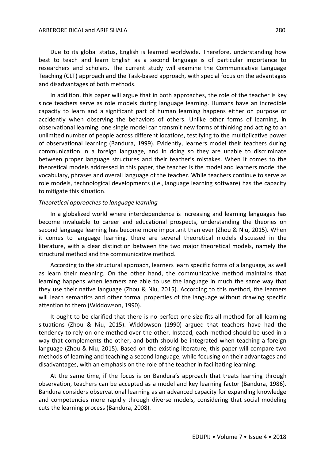#### ARBERORE BICAJ and ARIF SHALA 280

Due to its global status, English is learned worldwide. Therefore, understanding how best to teach and learn English as a second language is of particular importance to researchers and scholars. The current study will examine the Communicative Language Teaching (CLT) approach and the Task-based approach, with special focus on the advantages and disadvantages of both methods.

In addition, this paper will argue that in both approaches, the role of the teacher is key since teachers serve as role models during language learning. Humans have an incredible capacity to learn and a significant part of human learning happens either on purpose or accidently when observing the behaviors of others. Unlike other forms of learning, in observational learning, one single model can transmit new forms of thinking and acting to an unlimited number of people across different locations, testifying to the multiplicative power of observational learning (Bandura, 1999). Evidently, learners model their teachers during communication in a foreign language, and in doing so they are unable to discriminate between proper language structures and their teacher's mistakes. When it comes to the theoretical models addressed in this paper, the teacher is the model and learners model the vocabulary, phrases and overall language of the teacher. While teachers continue to serve as role models, technological developments (i.e., language learning software) has the capacity to mitigate this situation.

#### *Theoretical approaches to language learning*

In a globalized world where interdependence is increasing and learning languages has become invaluable to career and educational prospects, understanding the theories on second language learning has become more important than ever (Zhou & Niu, 2015). When it comes to language learning, there are several theoretical models discussed in the literature, with a clear distinction between the two major theoretical models, namely the structural method and the communicative method.

According to the structural approach, learners learn specific forms of a language, as well as learn their meaning. On the other hand, the communicative method maintains that learning happens when learners are able to use the language in much the same way that they use their native language (Zhou & Niu, 2015). According to this method, the learners will learn semantics and other formal properties of the language without drawing specific attention to them (Widdowson, 1990).

It ought to be clarified that there is no perfect one-size-fits-all method for all learning situations (Zhou & Niu, 2015). Widdowson (1990) argued that teachers have had the tendency to rely on one method over the other. Instead, each method should be used in a way that complements the other, and both should be integrated when teaching a foreign language (Zhou & Niu, 2015). Based on the existing literature, this paper will compare two methods of learning and teaching a second language, while focusing on their advantages and disadvantages, with an emphasis on the role of the teacher in facilitating learning.

At the same time, if the focus is on Bandura's approach that treats learning through observation, teachers can be accepted as a model and key learning factor (Bandura, 1986). Bandura considers observational learning as an advanced capacity for expanding knowledge and competencies more rapidly through diverse models, considering that social modeling cuts the learning process (Bandura, 2008).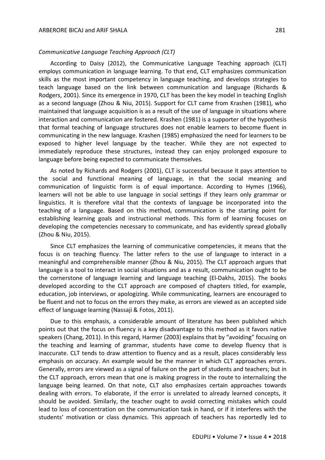#### *Communicative Language Teaching Approach (CLT)*

According to Daisy (2012), the Communicative Language Teaching approach (CLT) employs communication in language learning. To that end, CLT emphasizes communication skills as the most important competency in language teaching, and develops strategies to teach language based on the link between communication and language (Richards & Rodgers, 2001). Since its emergence in 1970, CLT has been the key model in teaching English as a second language (Zhou & Niu, 2015). Support for CLT came from Krashen (1981), who maintained that language acquisition is as a result of the use of language in situations where interaction and communication are fostered. Krashen (1981) is a supporter of the hypothesis that formal teaching of language structures does not enable learners to become fluent in communicating in the new language. Krashen (1985) emphasized the need for learners to be exposed to higher level language by the teacher. While they are not expected to immediately reproduce these structures, instead they can enjoy prolonged exposure to language before being expected to communicate themselves.

As noted by Richards and Rodgers (2001), CLT is successful because it pays attention to the social and functional meaning of language, in that the social meaning and communication of linguistic form is of equal importance. According to Hymes (1966), learners will not be able to use language in social settings if they learn only grammar or linguistics. It is therefore vital that the contexts of language be incorporated into the teaching of a language. Based on this method, communication is the starting point for establishing learning goals and instructional methods. This form of learning focuses on developing the competencies necessary to communicate, and has evidently spread globally (Zhou & Niu, 2015).

Since CLT emphasizes the learning of communicative competencies, it means that the focus is on teaching fluency. The latter refers to the use of language to interact in a meaningful and comprehensible manner (Zhou & Niu, 2015). The CLT approach argues that language is a tool to interact in social situations and as a result, communication ought to be the cornerstone of language learning and language teaching (El-Dakhs, 2015). The books developed according to the CLT approach are composed of chapters titled, for example, education, job interviews, or apologizing. While communicating, learners are encouraged to be fluent and not to focus on the errors they make, as errors are viewed as an accepted side effect of language learning (Nassaji & Fotos, 2011).

Due to this emphasis, a considerable amount of literature has been published which points out that the focus on fluency is a key disadvantage to this method as it favors native speakers (Chang, 2011). In this regard, Harmer (2003) explains that by "avoiding" focusing on the teaching and learning of grammar, students have come to develop fluency that is inaccurate. CLT tends to draw attention to fluency and as a result, places considerably less emphasis on accuracy. An example would be the manner in which CLT approaches errors. Generally, errors are viewed as a signal of failure on the part of students and teachers; but in the CLT approach, errors mean that one is making progress in the route to internalizing the language being learned. On that note, CLT also emphasizes certain approaches towards dealing with errors. To elaborate, if the error is unrelated to already learned concepts, it should be avoided. Similarly, the teacher ought to avoid correcting mistakes which could lead to loss of concentration on the communication task in hand, or if it interferes with the students' motivation or class dynamics. This approach of teachers has reportedly led to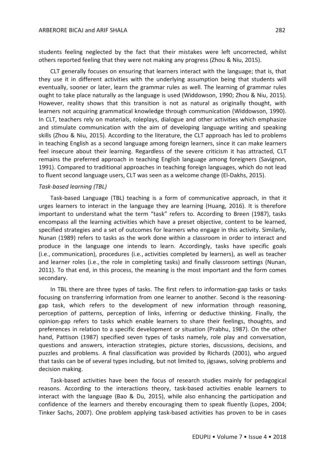students feeling neglected by the fact that their mistakes were left uncorrected, whilst others reported feeling that they were not making any progress (Zhou & Niu, 2015).

CLT generally focuses on ensuring that learners interact with the language; that is, that they use it in different activities with the underlying assumption being that students will eventually, sooner or later, learn the grammar rules as well. The learning of grammar rules ought to take place naturally as the language is used (Widdowson, 1990; Zhou & Niu, 2015). However, reality shows that this transition is not as natural as originally thought, with learners not acquiring grammatical knowledge through communication (Widdowson, 1990). In CLT, teachers rely on materials, roleplays, dialogue and other activities which emphasize and stimulate communication with the aim of developing language writing and speaking skills (Zhou & Niu, 2015). According to the literature, the CLT approach has led to problems in teaching English as a second language among foreign learners, since it can make learners feel insecure about their learning. Regardless of the severe criticism it has attracted, CLT remains the preferred approach in teaching English language among foreigners (Savignon, 1991). Compared to traditional approaches in teaching foreign languages, which do not lead to fluent second language users, CLT was seen as a welcome change (El-Dakhs, 2015).

#### *Task-based learning (TBL)*

Task-based Language (TBL) teaching is a form of communicative approach, in that it urges learners to interact in the language they are learning (Huang, 2016). It is therefore important to understand what the term "task" refers to. According to Breen (1987), tasks encompass all the learning activities which have a preset objective, content to be learned, specified strategies and a set of outcomes for learners who engage in this activity. Similarly, Nunan (1989) refers to tasks as the work done within a classroom in order to interact and produce in the language one intends to learn. Accordingly, tasks have specific goals (i.e., communication), procedures (i.e., activities completed by learners), as well as teacher and learner roles (i.e., the role in completing tasks) and finally classroom settings (Nunan, 2011). To that end, in this process, the meaning is the most important and the form comes secondary.

In TBL there are three types of tasks. The first refers to information-gap tasks or tasks focusing on transferring information from one learner to another. Second is the reasoninggap task, which refers to the development of new information through reasoning, perception of patterns, perception of links, inferring or deductive thinking. Finally, the opinion-gap refers to tasks which enable learners to share their feelings, thoughts, and preferences in relation to a specific development or situation (Prabhu, 1987). On the other hand, Pattison (1987) specified seven types of tasks namely, role play and conversation, questions and answers, interaction strategies, picture stories, discussions, decisions, and puzzles and problems. A final classification was provided by Richards (2001), who argued that tasks can be of several types including, but not limited to, jigsaws, solving problems and decision making.

Task-based activities have been the focus of research studies mainly for pedagogical reasons. According to the interactions theory, task-based activities enable learners to interact with the language (Bao & Du, 2015), while also enhancing the participation and confidence of the learners and thereby encouraging them to speak fluently (Lopes, 2004; Tinker Sachs, 2007). One problem applying task-based activities has proven to be in cases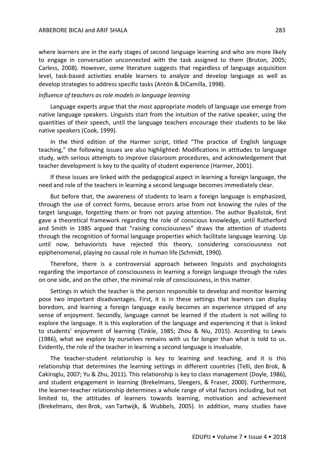where learners are in the early stages of second language learning and who are more likely to engage in conversation unconnected with the task assigned to them (Bruton, 2005; Carless, 2008). However, some literature suggests that regardless of language acquisition level, task-based activities enable learners to analyze and develop language as well as develop strategies to address specific tasks (Antón & DiCamilla, 1998).

#### *Influence of teachers as role models in language learning*

Language experts argue that the most appropriate models of language use emerge from native language speakers. Linguists start from the intuition of the native speaker, using the quantities of their speech, until the language teachers encourage their students to be like native speakers (Cook, 1999).

In the third edition of the Harmer script, titled "The practice of English language teaching," the following issues are also highlighted: Modifications in attitudes to language study, with serious attempts to improve classroom procedures, and acknowledgement that teacher development is key to the quality of student experience (Harmer, 2001).

If these issues are linked with the pedagogical aspect in learning a foreign language, the need and role of the teachers in learning a second language becomes immediately clear.

But before that, the awareness of students to learn a foreign language is emphasized, through the use of correct forms, because errors arise from not knowing the rules of the target language, forgetting them or from not paying attention. The author Byalistok, first gave a theoretical framework regarding the role of conscious knowledge, until Rutherford and Smith in 1985 argued that "raising consciousness" draws the attention of students through the recognition of formal language properties which facilitate language learning. Up until now, behaviorists have rejected this theory, considering consciousness not epiphenomenal, playing no causal role in human life (Schmidt, 1990).

Therefore, there is a controversial approach between linguists and psychologists regarding the importance of consciousness in learning a foreign language through the rules on one side, and on the other, the minimal role of consciousness, in this matter.

Settings in which the teacher is the person responsible to develop and monitor learning pose two important disadvantages. First, it is in these settings that learners can display boredom, and learning a foreign language easily becomes an experience stripped of any sense of enjoyment. Secondly, language cannot be learned if the student is not willing to explore the language. It is this exploration of the language and experiencing it that is linked to students' enjoyment of learning (Tinkle, 1985; Zhou & Niu, 2015). According to Lewis (1986), what we explore by ourselves remains with us far longer than what is told to us. Evidently, the role of the teacher in learning a second language is invaluable.

The teacher-student relationship is key to learning and teaching, and it is this relationship that determines the learning settings in different countries (Telli, den Brok, & Cakiroglu, 2007; Yu & Zhu, 2011). This relationship is key to class management (Doyle, 1986), and student engagement in learning (Brekelmans, Sleegers, & Fraser, 2000). Furthermore, the learner-teacher relationship determines a whole range of vital factors including, but not limited to, the attitudes of learners towards learning, motivation and achievement (Brekelmans, den Brok, van Tartwijk, & Wubbels, 2005). In addition, many studies have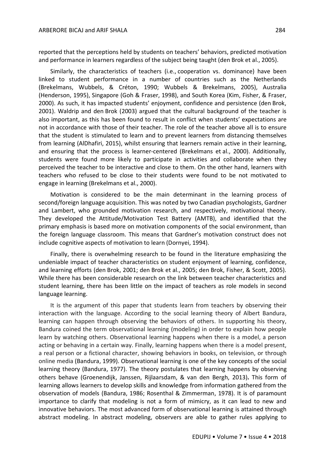reported that the perceptions held by students on teachers' behaviors, predicted motivation and performance in learners regardless of the subject being taught (den Brok et al., 2005).

Similarly, the characteristics of teachers (i.e., cooperation vs. dominance) have been linked to student performance in a number of countries such as the Netherlands (Brekelmans, Wubbels, & Créton, 1990; Wubbels & Brekelmans, 2005), Australia (Henderson, 1995), Singapore (Goh & Fraser, 1998), and South Korea (Kim, Fisher, & Fraser, 2000). As such, it has impacted students' enjoyment, confidence and persistence (den Brok, 2001). Waldrip and den Brok (2003) argued that the cultural background of the teacher is also important, as this has been found to result in conflict when students' expectations are not in accordance with those of their teacher. The role of the teacher above all is to ensure that the student is stimulated to learn and to prevent learners from distancing themselves from learning (AlDhafiri, 2015), whilst ensuring that learners remain active in their learning, and ensuring that the process is learner-centered (Brekelmans et al., 2000). Additionally, students were found more likely to participate in activities and collaborate when they perceived the teacher to be interactive and close to them. On the other hand, learners with teachers who refused to be close to their students were found to be not motivated to engage in learning (Brekelmans et al., 2000).

Motivation is considered to be the main determinant in the learning process of second/foreign language acquisition. This was noted by two Canadian psychologists, Gardner and Lambert, who grounded motivation research, and respectively, motivational theory. They developed the Attitude/Motivation Test Battery (AMTB), and identified that the primary emphasis is based more on motivation components of the social environment, than the foreign language classroom. This means that Gardner's motivation construct does not include cognitive aspects of motivation to learn (Dornyei, 1994).

Finally, there is overwhelming research to be found in the literature emphasizing the undeniable impact of teacher characteristics on student enjoyment of learning, confidence, and learning efforts (den Brok, 2001; den Brok et al., 2005; den Brok, Fisher, & Scott, 2005). While there has been considerable research on the link between teacher characteristics and student learning, there has been little on the impact of teachers as role models in second language learning.

It is the argument of this paper that students learn from teachers by observing their interaction with the language. According to the social learning theory of Albert Bandura, learning can happen through observing the behaviors of others. In supporting his theory, Bandura coined the term observational learning (modeling) in order to explain how people learn by watching others. Observational learning happens when there is a model, a person acting or behaving in a certain way. Finally, learning happens when there is a model present, a real person or a fictional character, showing behaviors in books, on television, or through online media (Bandura, 1999). Observational learning is one of the key concepts of the social learning theory (Bandura, 1977). The theory postulates that learning happens by observing others behave (Groenendijk, Janssen, Rijlaarsdam, & van den Bergh, 2013)**.** This form of learning allows learners to develop skills and knowledge from information gathered from the observation of models (Bandura, 1986; Rosenthal & Zimmerman, 1978). It is of paramount importance to clarify that modeling is not a form of mimicry, as it can lead to new and innovative behaviors. The most advanced form of observational learning is attained through abstract modeling. In abstract modeling, observers are able to gather rules applying to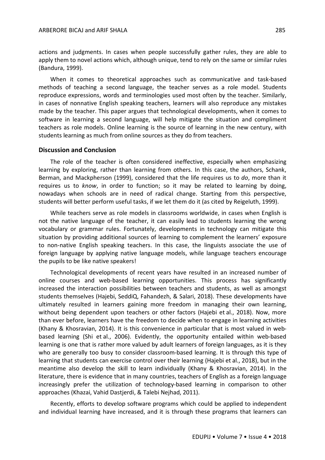actions and judgments. In cases when people successfully gather rules, they are able to apply them to novel actions which, although unique, tend to rely on the same or similar rules (Bandura, 1999).

When it comes to theoretical approaches such as communicative and task-based methods of teaching a second language, the teacher serves as a role model. Students reproduce expressions, words and terminologies used most often by the teacher. Similarly, in cases of nonnative English speaking teachers, learners will also reproduce any mistakes made by the teacher. This paper argues that technological developments, when it comes to software in learning a second language, will help mitigate the situation and compliment teachers as role models. Online learning is the source of learning in the new century, with students learning as much from online sources as they do from teachers.

#### **Discussion and Conclusion**

The role of the teacher is often considered ineffective, especially when emphasizing learning by exploring, rather than learning from others. In this case, the authors, Schank, Berman, and Mackpherson (1999), considered that the life requires us to *do*, more than it requires us to *know*, in order to function; so it may be related to learning by doing, nowadays when schools are in need of radical change. Starting from this perspective, students will better perform useful tasks, if we let them do it (as cited by Reigeluth, 1999).

While teachers serve as role models in classrooms worldwide, in cases when English is not the native language of the teacher, it can easily lead to students learning the wrong vocabulary or grammar rules. Fortunately, developments in technology can mitigate this situation by providing additional sources of learning to complement the learners' exposure to non-native English speaking teachers. In this case, the linguists associate the use of foreign language by applying native language models, while language teachers encourage the pupils to be like native speakers!

Technological developments of recent years have resulted in an increased number of online courses and web-based learning opportunities. This process has significantly increased the interaction possibilities between teachers and students, as well as amongst students themselves (Hajebi, SeddiQ, Fahandezh, & Salari, 2018). These developments have ultimately resulted in learners gaining more freedom in managing their own learning, without being dependent upon teachers or other factors (Hajebi et al., 2018). Now, more than ever before, learners have the freedom to decide when to engage in learning activities (Khany & Khosravian, 2014). It is this convenience in particular that is most valued in webbased learning (Shi et al., 2006). Evidently, the opportunity entailed within web-based learning is one that is rather more valued by adult learners of foreign languages, as it is they who are generally too busy to consider classroom-based learning. It is through this type of learning that students can exercise control over their learning (Hajebi et al., 2018), but in the meantime also develop the skill to learn individually (Khany & Khosravian, 2014). In the literature, there is evidence that in many countries, teachers of English as a foreign language increasingly prefer the utilization of technology-based learning in comparison to other approaches (Khazai, Vahid Dastjerdi, & Talebi Nejhad, 2011).

Recently, efforts to develop software programs which could be applied to independent and individual learning have increased, and it is through these programs that learners can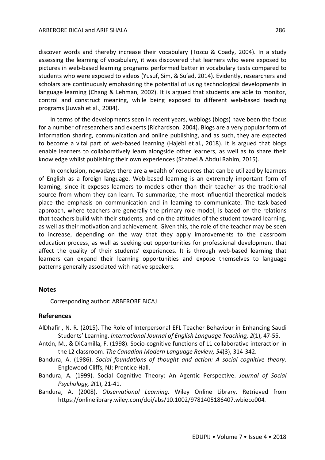discover words and thereby increase their vocabulary (Tozcu & Coady, 2004). In a study assessing the learning of vocabulary, it was discovered that learners who were exposed to pictures in web-based learning programs performed better in vocabulary tests compared to students who were exposed to videos (Yusuf, Sim, & Su'ad, 2014). Evidently, researchers and scholars are continuously emphasizing the potential of using technological developments in language learning (Chang & Lehman, 2002). It is argued that students are able to monitor, control and construct meaning, while being exposed to different web-based teaching programs (Juwah et al., 2004).

In terms of the developments seen in recent years, weblogs (blogs) have been the focus for a number of researchers and experts (Richardson, 2004). Blogs are a very popular form of information sharing, communication and online publishing, and as such, they are expected to become a vital part of web-based learning (Hajebi et al., 2018). It is argued that blogs enable learners to collaboratively learn alongside other learners, as well as to share their knowledge whilst publishing their own experiences (Shafaei & Abdul Rahim, 2015).

In conclusion, nowadays there are a wealth of resources that can be utilized by learners of English as a foreign language. Web-based learning is an extremely important form of learning, since it exposes learners to models other than their teacher as the traditional source from whom they can learn. To summarize, the most influential theoretical models place the emphasis on communication and in learning to communicate. The task-based approach, where teachers are generally the primary role model, is based on the relations that teachers build with their students, and on the attitudes of the student toward learning, as well as their motivation and achievement. Given this, the role of the teacher may be seen to increase, depending on the way that they apply improvements to the classroom education process, as well as seeking out opportunities for professional development that affect the quality of their students' experiences. It is through web-based learning that learners can expand their learning opportunities and expose themselves to language patterns generally associated with native speakers.

#### **Notes**

Corresponding author: ARBERORE BICAJ

### **References**

- AlDhafiri, N. R. (2015). The Role of Interpersonal EFL Teacher Behaviour in Enhancing Saudi Students' Learning. *International Journal of English Language Teaching, 2*(1), 47-55.
- Antón, M., & DiCamilla, F. (1998). Socio-cognitive functions of L1 collaborative interaction in the L2 classroom. *The Canadian Modern Language Review, 54*(3), 314-342.
- Bandura, A. (1986). *Social foundations of thought and action: A social cognitive theory*. Englewood Cliffs, NJ: Prentice Hall.
- Bandura, A. (1999). Social Cognitive Theory: An Agentic Perspective. *Journal of Social Psychology, 2*(1), 21-41.
- Bandura, A. (2008). *Observational Learning.* Wiley Online Library. Retrieved from https://onlinelibrary.wiley.com/doi/abs/10.1002/9781405186407.wbieco004.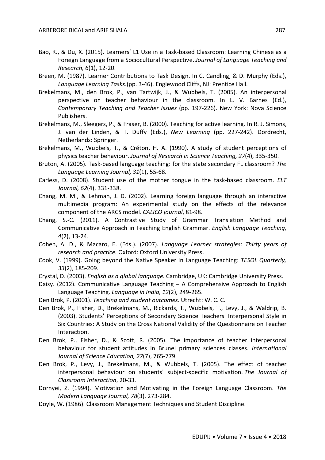- Bao, R., & Du, X. (2015). Learners' L1 Use in a Task-based Classroom: Learning Chinese as a Foreign Language from a Sociocultural Perspective. *Journal of Language Teaching and Research, 6*(1), 12-20.
- Breen, M. (1987). Learner Contributions to Task Design. In C. Candling, & D. Murphy (Eds.), *Language Learning Tasks*.(pp. 3-46). Englewood Cliffs, NJ: Prentice Hall.
- Brekelmans, M., den Brok, P., van Tartwijk, J., & Wubbels, T. (2005). An interpersonal perspective on teacher behaviour in the classroom. In L. V. Barnes (Ed.), *Contemporary Teaching and Teacher Issues* (pp. 197-226). New York: Nova Science Publishers.
- Brekelmans, M., Sleegers, P., & Fraser, B. (2000). Teaching for active learning. In R. J. Simons, J. van der Linden, & T. Duffy (Eds.), *New Learning* (pp. 227-242). Dordrecht, Netherlands: Springer.
- Brekelmans, M., Wubbels, T., & Créton, H. A. (1990). A study of student perceptions of physics teacher behaviour. *Journal of Research in Science Teaching, 27*(4), 335-350.
- Bruton, A. (2005). Task-based language teaching: for the state secondary FL classroom? *The Language Learning Journal, 31*(1), 55-68.
- Carless, D. (2008). Student use of the mother tongue in the task-based classroom. *ELT Journal, 62*(4), 331-338.
- Chang, M. M., & Lehman, J. D. (2002). Learning foreign language through an interactive multimedia program: An experimental study on the effects of the relevance component of the ARCS model. *CALICO journal*, 81-98.
- Chang, S.-C. (2011). A Contrastive Study of Grammar Translation Method and Communicative Approach in Teaching English Grammar. *English Language Teaching, 4*(2), 13-24.
- Cohen, A. D., & Macaro, E. (Eds.). (2007). *Language Learner strategies: Thirty years of research and practice.* Oxford: Oxford University Press.
- Cook, V. (1999). Going beyond the Native Speaker in Language Teaching: *TESOL Quarterly, 33*(2), 185-209.
- Crystal, D. (2003). *English as a global language*. Cambridge, UK: Cambridge University Press.
- Daisy. (2012). Communicative Language Teaching A Comprehensive Approach to English Language Teaching. *Language in India, 12*(2), 249-265.
- Den Brok, P. (2001). *Teaching and student outcomes*. Utrecht: W. C. C.
- Den Brok, P., Fisher, D., Brekelmans, M., Rickards, T., Wubbels, T., Levy, J., & Waldrip, B. (2003). Students' Perceptions of Secondary Science Teachers' Interpersonal Style in Six Countries: A Study on the Cross National Validity of the Questionnaire on Teacher Interaction.
- Den Brok, P., Fisher, D., & Scott, R. (2005). The importance of teacher interpersonal behaviour for student attitudes in Brunei primary sciences classes. *International Journal of Science Education, 27*(7), 765-779.
- Den Brok, P., Levy, J., Brekelmans, M., & Wubbels, T. (2005). The effect of teacher interpersonal behaviour on students' subject-specific motivation. *The Journal of Classroom Interaction*, 20-33.
- Dornyei, Z. (1994). Motivation and Motivating in the Foreign Language Classroom. *The Modern Language Journal, 78*(3), 273-284.
- Doyle, W. (1986). Classroom Management Techniques and Student Discipline.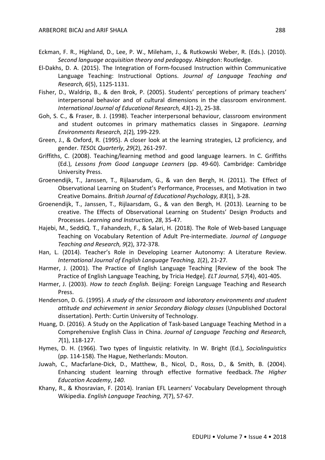- Eckman, F. R., Highland, D., Lee, P. W., Mileham, J., & Rutkowski Weber, R. (Eds.). (2010). *Second language acquisition theory and pedagogy.* Abingdon: Routledge.
- El-Dakhs, D. A. (2015). The Integration of Form-focused Instruction within Communicative Language Teaching: Instructional Options. *Journal of Language Teaching and Research, 6*(5), 1125-1131.
- Fisher, D., Waldrip, B., & den Brok, P. (2005). Students' perceptions of primary teachers' interpersonal behavior and of cultural dimensions in the classroom environment. *International Journal of Educational Research, 43*(1-2), 25-38.
- Goh, S. C., & Fraser, B. J. (1998). Teacher interpersonal behaviour, classroom environment and student outcomes in primary mathematics classes in Singapore. *Learning Environments Research, 1*(2)*,* 199-229.
- Green, J., & Oxford, R. (1995). A closer look at the learning strategies, L2 proficiency, and gender. *TESOL Quarterly*, *29*(2), 261-297.
- Griffiths, C. (2008). Teaching/learning method and good language learners. In C. Griffiths (Ed.), *Lessons from Good Language Learners* (pp. 49-60). Cambridge: Cambridge University Press.
- Groenendijk, T., Janssen, T., Rijlaarsdam, G., & van den Bergh, H. (2011). The Effect of Observational Learning on Student's Performance, Processes, and Motivation in two Creative Domains. *British Journal of Educational Psychology, 83*(1), 3-28.
- Groenendijk, T., Janssen, T., Rijlaarsdam, G., & van den Bergh, H. (2013). Learning to be creative. The Effects of Observational Learning on Students' Design Products and Processes. *Learning and Instruction, 28*, 35-47.
- Hajebi, M., SeddiQ. T., Fahandezh, F., & Salari, H. (2018). The Role of Web-based Language Teaching on Vocabulary Retention of Adult Pre-intermediate. *Journal of Language Teaching and Research, 9*(2), 372-378.
- Han, L. (2014). Teacher's Role in Developing Learner Autonomy: A Literature Review. *International Journal of English Language Teaching, 1*(2), 21-27.
- Harmer, J. (2001). The Practice of English Language Teaching [Review of the book The Practice of English Language Teaching, by Tricia Hedge]. *ELT Journal, 57*(4), 401-405.
- Harmer, J. (2003). *How to teach English.* Beijing: Foreign Language Teaching and Research Press.
- Henderson, D. G. (1995). *A study of the classroom and laboratory environments and student attitude and achievement in senior Secondary Biology classes* (Unpublished Doctoral dissertation). Perth: Curtin University of Technology.
- Huang, D. (2016). A Study on the Application of Task-based Language Teaching Method in a Comprehensive English Class in China. *Journal of Language Teaching and Research, 7*(1), 118-127.
- Hymes, D. H. (1966). Two types of linguistic relativity. In W. Bright (Ed.), *Sociolinguistics*  (pp. 114-158). The Hague, Netherlands: Mouton.
- Juwah, C., Macfarlane-Dick, D., Matthew, B., Nicol, D., Ross, D., & Smith, B. (2004). Enhancing student learning through effective formative feedback. *The Higher Education Academy*, *140*.
- Khany, R., & Khosravian, F. (2014). Iranian EFL Learners' Vocabulary Development through Wikipedia. *English Language Teaching, 7*(7), 57-67.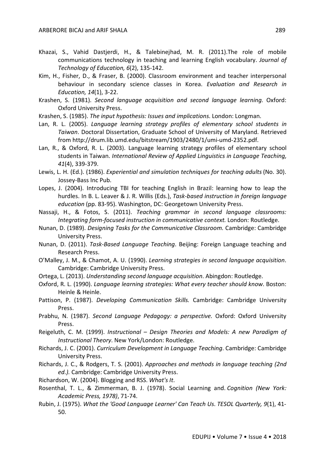- Khazai, S., Vahid Dastjerdi, H., & Talebinejhad, M. R. (2011).The role of mobile communications technology in teaching and learning English vocabulary. *Journal of Technology of Education, 6*(2), 135-142.
- Kim, H., Fisher, D., & Fraser, B. (2000). Classroom environment and teacher interpersonal behaviour in secondary science classes in Korea. *Evaluation and Research in Education, 14*(1), 3-22.
- Krashen, S. (1981). *Second language acquisition and second language learning*. Oxford: Oxford University Press.
- Krashen, S. (1985). *The input hypothesis: Issues and implications*. London: Longman.
- Lan, R. L. (2005). *Language learning strategy profiles of elementary school students in Taiwan*. Doctoral Dissertation, Graduate School of University of Maryland. Retrieved from http://drum.lib.umd.edu/bitstream/1903/2480/1/umi-umd-2352.pdf.
- Lan, R., & Oxford, R. L. (2003). Language learning strategy profiles of elementary school students in Taiwan. *International Review of Applied Linguistics in Language Teaching, 41*(4), 339-379.
- Lewis, L. H. (Ed.). (1986). *Experiential and simulation techniques for teaching adults* (No. 30). Jossey-Bass Inc Pub.
- Lopes, J. (2004). Introducing TBI for teaching English in Brazil: learning how to leap the hurdles. In B. L. Leaver & J. R. Willis (Eds.), *Task-based instruction in foreign language education* (pp. 83-95). Washington, DC: Georgetown University Press.
- Nassaji, H., & Fotos, S. (2011). *Teaching grammar in second language classrooms: Integrating form-focused instruction in communicative context.* London: Routledge.
- Nunan, D. (1989). *Designing Tasks for the Communicative Classroom.* Cambridge: Cambridge University Press.
- Nunan, D. (2011). *Task-Based Language Teaching*. Beijing: Foreign Language teaching and Research Press.
- O'Malley, J. M., & Chamot, A. U. (1990). *Learning strategies in second language acquisition*. Cambridge: Cambridge University Press.
- Ortega, L. (2013). *Understanding second language acquisition*. Abingdon: Routledge.
- Oxford, R. L. (1990). *Language learning strategies: What every teacher should know*. Boston: Heinle & Heinle.
- Pattison, P. (1987). *Developing Communication Skills.* Cambridge: Cambridge University Press.
- Prabhu, N. (1987). *Second Language Pedagogy: a perspective.* Oxford: Oxford University Press.
- Reigeluth, C. M. (1999). *Instructional – Design Theories and Models: A new Paradigm of Instructional Theory*. New York/London: Routledge.
- Richards, J. C. (2001). *Curriculum Development in Language Teaching*. Cambridge: Cambridge University Press.
- Richards, J. C., & Rodgers, T. S. (2001). *Approaches and methods in language teaching (2nd ed.).* Cambridge: Cambridge University Press.
- Richardson, W. (2004). Blogging and RSS. *What's It*.
- Rosenthal, T. L., & Zimmerman, B. J. (1978). Social Learning and. *Cognition (New York: Academic Press, 1978)*, 71-74.
- Rubin, J. (1975). *What the 'Good Language Learner' Can Teach Us*. *TESOL Quarterly, 9*(1), 41- 50.